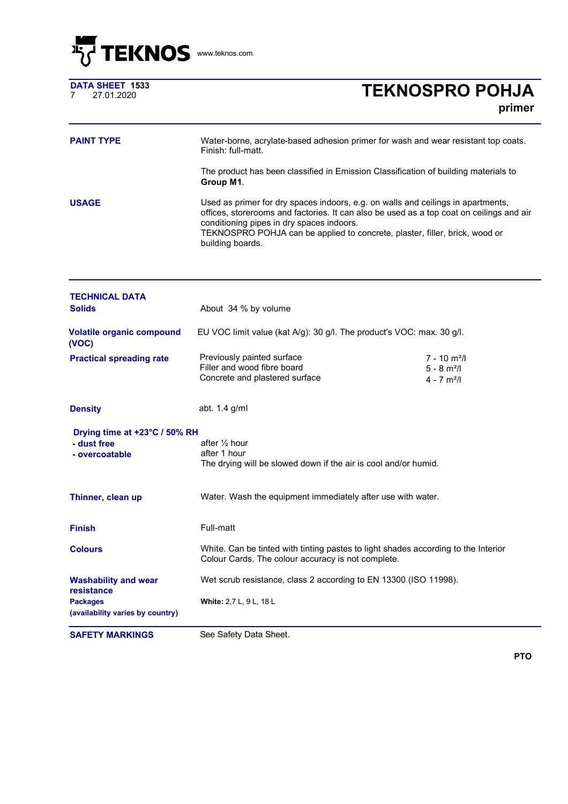

|  | www.teknos.com |
|--|----------------|
|--|----------------|

|   | <b>DATA SHEET 1533</b> |  |
|---|------------------------|--|
| 7 | 27.01.2020             |  |

## <sup>7</sup> 27.01.2020 **TEKNOSPRO POHJA primer**

| <b>PAINT TYPE</b>                                              | Water-borne, acrylate-based adhesion primer for wash and wear resistant top coats.<br>Finish: full-matt.                                                                                                                                                                                                                     |                                                                                      |  |
|----------------------------------------------------------------|------------------------------------------------------------------------------------------------------------------------------------------------------------------------------------------------------------------------------------------------------------------------------------------------------------------------------|--------------------------------------------------------------------------------------|--|
|                                                                | The product has been classified in Emission Classification of building materials to<br>Group M1.                                                                                                                                                                                                                             |                                                                                      |  |
| <b>USAGE</b>                                                   | Used as primer for dry spaces indoors, e.g. on walls and ceilings in apartments,<br>offices, storerooms and factories. It can also be used as a top coat on ceilings and air<br>conditioning pipes in dry spaces indoors.<br>TEKNOSPRO POHJA can be applied to concrete, plaster, filler, brick, wood or<br>building boards. |                                                                                      |  |
| <b>TECHNICAL DATA</b>                                          |                                                                                                                                                                                                                                                                                                                              |                                                                                      |  |
| <b>Solids</b>                                                  | About 34 % by volume                                                                                                                                                                                                                                                                                                         |                                                                                      |  |
| <b>Volatile organic compound</b><br>(VOC)                      | EU VOC limit value (kat A/g): 30 g/l. The product's VOC: max. 30 g/l.                                                                                                                                                                                                                                                        |                                                                                      |  |
| <b>Practical spreading rate</b>                                | Previously painted surface<br>Filler and wood fibre board<br>Concrete and plastered surface                                                                                                                                                                                                                                  | $7 - 10$ m <sup>2</sup> /l<br>$5 - 8$ m <sup>2</sup> /l<br>$4 - 7$ m <sup>2</sup> /l |  |
| <b>Density</b>                                                 | abt. 1.4 g/ml                                                                                                                                                                                                                                                                                                                |                                                                                      |  |
| Drying time at +23°C / 50% RH<br>- dust free<br>- overcoatable | after $\frac{1}{2}$ hour<br>after 1 hour<br>The drying will be slowed down if the air is cool and/or humid.                                                                                                                                                                                                                  |                                                                                      |  |
| Thinner, clean up                                              | Water. Wash the equipment immediately after use with water.                                                                                                                                                                                                                                                                  |                                                                                      |  |
| <b>Finish</b>                                                  | Full-matt                                                                                                                                                                                                                                                                                                                    |                                                                                      |  |
| <b>Colours</b>                                                 | White. Can be tinted with tinting pastes to light shades according to the Interior<br>Colour Cards. The colour accuracy is not complete.                                                                                                                                                                                     |                                                                                      |  |
| <b>Washability and wear</b><br>resistance<br><b>Packages</b>   | Wet scrub resistance, class 2 according to EN 13300 (ISO 11998).<br><b>White: 2,7 L, 9 L, 18 L</b>                                                                                                                                                                                                                           |                                                                                      |  |
| (availability varies by country)                               |                                                                                                                                                                                                                                                                                                                              |                                                                                      |  |

**SAFETY MARKINGS** See Safety Data Sheet.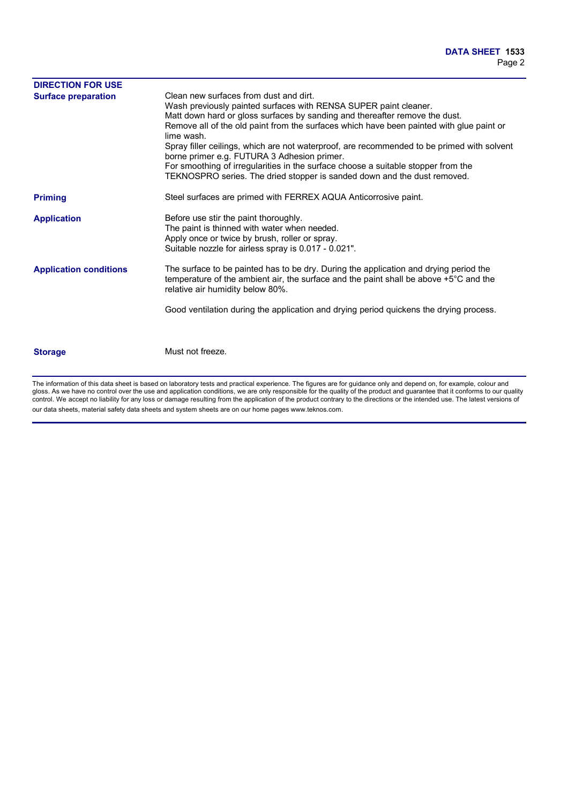| <b>DIRECTION FOR USE</b>      |                                                                                                                                                                                                                                                                                                                                                                                                                                                                                                                                                                                                                   |
|-------------------------------|-------------------------------------------------------------------------------------------------------------------------------------------------------------------------------------------------------------------------------------------------------------------------------------------------------------------------------------------------------------------------------------------------------------------------------------------------------------------------------------------------------------------------------------------------------------------------------------------------------------------|
| <b>Surface preparation</b>    | Clean new surfaces from dust and dirt.<br>Wash previously painted surfaces with RENSA SUPER paint cleaner.<br>Matt down hard or gloss surfaces by sanding and thereafter remove the dust.<br>Remove all of the old paint from the surfaces which have been painted with glue paint or<br>lime wash.<br>Spray filler ceilings, which are not waterproof, are recommended to be primed with solvent<br>borne primer e.g. FUTURA 3 Adhesion primer.<br>For smoothing of irregularities in the surface choose a suitable stopper from the<br>TEKNOSPRO series. The dried stopper is sanded down and the dust removed. |
| <b>Priming</b>                | Steel surfaces are primed with FERREX AQUA Anticorrosive paint.                                                                                                                                                                                                                                                                                                                                                                                                                                                                                                                                                   |
| <b>Application</b>            | Before use stir the paint thoroughly.<br>The paint is thinned with water when needed.<br>Apply once or twice by brush, roller or spray.<br>Suitable nozzle for airless spray is 0.017 - 0.021".                                                                                                                                                                                                                                                                                                                                                                                                                   |
| <b>Application conditions</b> | The surface to be painted has to be dry. During the application and drying period the<br>temperature of the ambient air, the surface and the paint shall be above +5°C and the<br>relative air humidity below 80%.                                                                                                                                                                                                                                                                                                                                                                                                |
|                               | Good ventilation during the application and drying period quickens the drying process.                                                                                                                                                                                                                                                                                                                                                                                                                                                                                                                            |
| <b>Storage</b>                | Must not freeze.                                                                                                                                                                                                                                                                                                                                                                                                                                                                                                                                                                                                  |

The information of this data sheet is based on laboratory tests and practical experience. The figures are for guidance only and depend on, for example, colour and gloss. As we have no control over the use and application conditions, we are only responsible for the quality of the product and guarantee that it conforms to our quality control. We accept no liability for any loss or damage resulting from the application of the product contrary to the directions or the intended use. The latest versions of our data sheets, material safety data sheets and system sheets are on our home pages www.teknos.com.